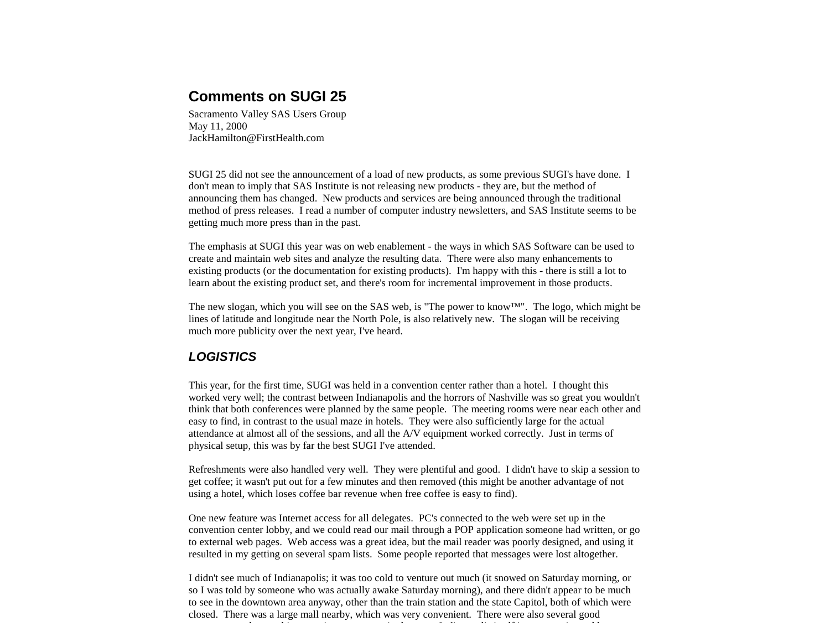# **Comments on SUGI 25**

Sacramento Valley SAS Users Group May 11, 2000 JackHamilton@FirstHealth.com

SUGI 25 did not see the announcement of a load of new products, as some previous SUGI's have done. I don't mean to imply that SAS Institute is not releasing new products - they are, but the method of announcing them has changed. New products and services are being announced through the traditional method of press releases. I read a number of computer industry newsletters, and SAS Institute seems to be getting much more press than in the past.

The emphasis at SUGI this year was on web enablement - the ways in which SAS Software can be used to create and maintain web sites and analyze the resulting data. There were also many enhancements to existing products (or the documentation for existing products). I'm happy with this - there is still a lot to learn about the existing product set, and there's room for incremental improvement in those products.

The new slogan, which you will see on the SAS web, is "The power to know™ ". The logo, which might be lines of latitude and longitude near the North Pole, is also relatively new. The slogan will be receiving much more publicity over the next year, I've heard.

## *LOGISTICS*

This year, for the first time, SUGI was held in a convention center rather than a hotel. I thought this worked very well; the contrast between Indianapolis and the horrors of Nashville was so great you wouldn't think that both conferences were planned by the same people. The meeting rooms were near each other and easy to find, in contrast to the usual maze in hotels. They were also sufficiently large for the actual attendance at almost all of the sessions, and all the A/V equipment worked correctly. Just in terms of physical setup, this was by far the best SUGI I've attended.

Refreshments were also handled very well. They were plentiful and good. I didn't have to skip a session to get coffee; it wasn't put out for a few minutes and then removed (this might be another advantage of not using a hotel, which loses coffee bar revenue when free coffee is easy to find).

One new feature was Internet access for all delegates. PC's connected to the web were set up in the convention center lobby, and we could read our mail through a POP application someone had written, or go to external web pages. Web access was a great idea, but the mail reader was poorly designed, and using it resulted in my getting on several spam lists. Some people reported that messages were lost altogether.

I didn't see much of Indianapolis; it was too cold to venture out much (it snowed on Saturday morning, or so I was told by someone who was actually awake Saturday morning), and there didn't appear to be much to see in the downtown area anyway, other than the train station and the state Capitol, both of which were closed. There was a large mall nearby, which was very convenient. There were also several good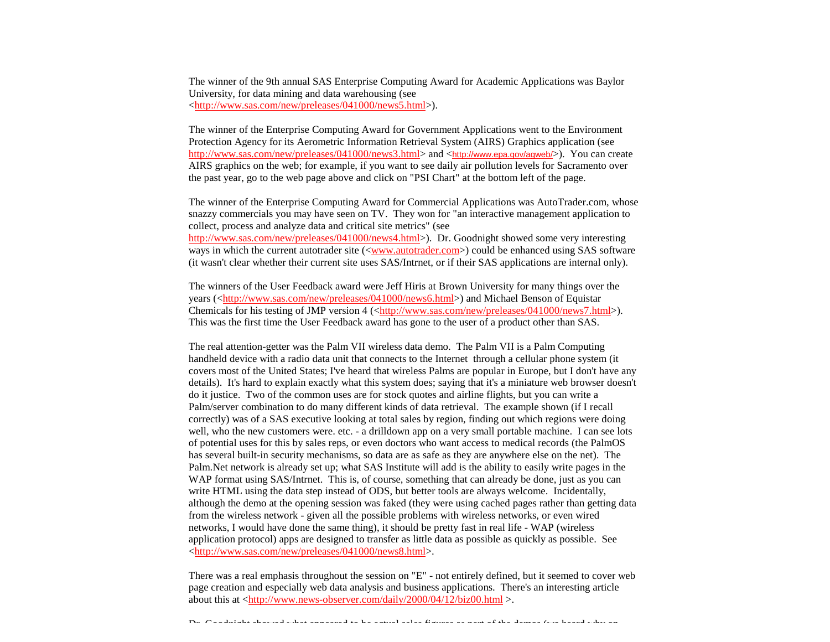The winner of the 9th annual SAS Enterprise Computing Award for Academic Applications was Baylor University, for data mining and data warehousing (see <http://www.sas.com/new/preleases/041000/news5.html>).

The winner of the Enterprise Computing Award for Government Applications went to the Environment Protection Agency for its Aerometric Information Retrieval System (AIRS) Graphics application (see http://www.sas.com/new/preleases/041000/news3.html> and <http://www.epa.gov/agweb/>). You can create AIRS graphics on the web; for example, if you want to see daily air pollution levels for Sacramento over the past year, go to the web page above and click on "PSI Chart" at the bottom left of the page.

The winner of the Enterprise Computing Award for Commercial Applications was AutoTrader.com, whose snazzy commercials you may have seen on TV. They won for "an interactive management application to collect, process and analyze data and critical site metrics" (see http://www.sas.com/new/preleases/041000/news4.html>). Dr. Goodnight showed some very interesting ways in which the current autotrader site  $(\langle www.autotrader.com>})$  could be enhanced using SAS software (it wasn't clear whether their current site uses SAS/Intrnet, or if their SAS applications are internal only).

The winners of the User Feedback award were Jeff Hiris at Brown University for many things over the years (<http://www.sas.com/new/preleases/041000/news6.html>) and Michael Benson of Equistar Chemicals for his testing of JMP version  $4 \left\langle \frac{\text{http://www.sas.com/news/preleases}/041000/news7.html}{\text{http://www.sas.com/news/preleases}/041000/news7.html}\right\rangle$ . This was the first time the User Feedback award has gone to the user of a product other than SAS.

The real attention-getter was the Palm VII wireless data demo. The Palm VII is a Palm Computing handheld device with a radio data unit that connects to the Internet through a cellular phone system (it covers most of the United States; I've heard that wireless Palms are popular in Europe, but I don't have any details). It's hard to explain exactly what this system does; saying that it's a miniature web browser doesn't do it justice. Two of the common uses are for stock quotes and airline flights, but you can write a Palm/server combination to do many different kinds of data retrieval. The example shown (if I recall correctly) was of a SAS executive looking at total sales by region, finding out which regions were doing well, who the new customers were. etc. - a drilldown app on a very small portable machine. I can see lots of potential uses for this by sales reps, or even doctors who want access to medical records (the PalmOS has several built-in security mechanisms, so data are as safe as they are anywhere else on the net). The Palm.Net network is already set up; what SAS Institute will add is the ability to easily write pages in the WAP format using SAS/Intrnet. This is, of course, something that can already be done, just as you can write HTML using the data step instead of ODS, but better tools are always welcome. Incidentally, although the demo at the opening session was faked (they were using cached pages rather than getting data from the wireless network - given all the possible problems with wireless networks, or even wired networks, I would have done the same thing), it should be pretty fast in real life - WAP (wireless application protocol) apps are designed to transfer as little data as possible as quickly as possible. See <http://www.sas.com/new/preleases/041000/news8.html>.

There was a real emphasis throughout the session on "E" - not entirely defined, but it seemed to cover web page creation and especially web data analysis and business applications. There's an interesting article about this at <http://www.news-observer.com/daily/2000/04/12/biz00.html >.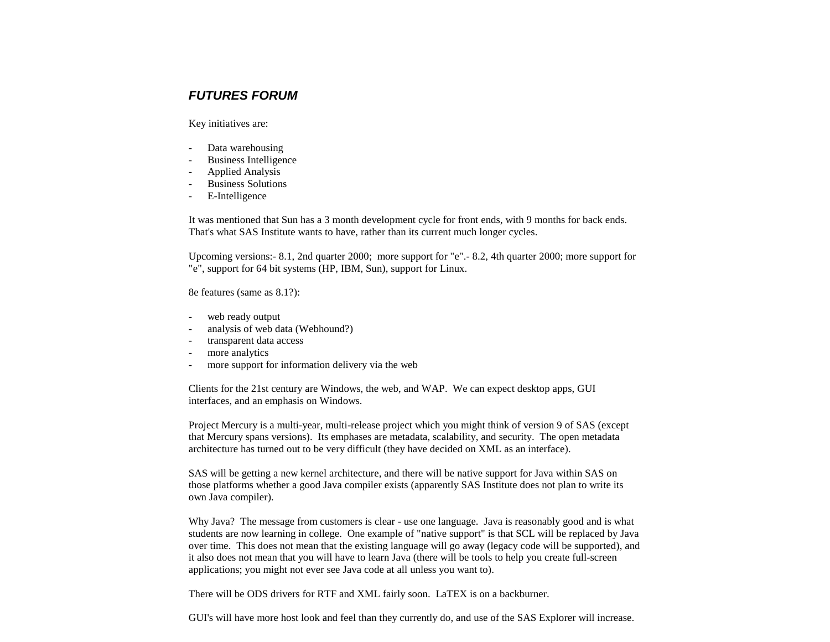## *FUTURES FORUM*

Key initiatives are:

- Data warehousing
- Business Intelligence
- Applied Analysis
- Business Solutions
- E-Intelligence

It was mentioned that Sun has a 3 month development cycle for front ends, with 9 months for back ends. That's what SAS Institute wants to have, rather than its current much longer cycles.

Upcoming versions:- 8.1, 2nd quarter 2000; more support for "e".- 8.2, 4th quarter 2000; more support for "e", support for 64 bit systems (HP, IBM, Sun), support for Linux.

8e features (same as 8.1?):

- web ready output
- analysis of web data (Webhound?)
- transparent data access
- more analytics
- more support for information delivery via the web

Clients for the 21st century are Windows, the web, and WAP. We can expect desktop apps, GUI interfaces, and an emphasis on Windows.

Project Mercury is a multi-year, multi-release project which you might think of version 9 of SAS (except that Mercury spans versions). Its emphases are metadata, scalability, and security. The open metadata architecture has turned out to be very difficult (they have decided on XML as an interface).

SAS will be getting a new kernel architecture, and there will be native support for Java within SAS on those platforms whether a good Java compiler exists (apparently SAS Institute does not plan to write its own Java compiler).

Why Java? The message from customers is clear - use one language. Java is reasonably good and is what students are now learning in college. One example of "native support" is that SCL will be replaced by Java over time. This does not mean that the existing language will go away (legacy code will be supported), and it also does not mean that you will have to learn Java (there will be tools to help you create full-screen applications; you might not ever see Java code at all unless you want to).

There will be ODS drivers for RTF and XML fairly soon. LaTEX is on a backburner.

GUI's will have more host look and feel than they currently do, and use of the SAS Explorer will increase.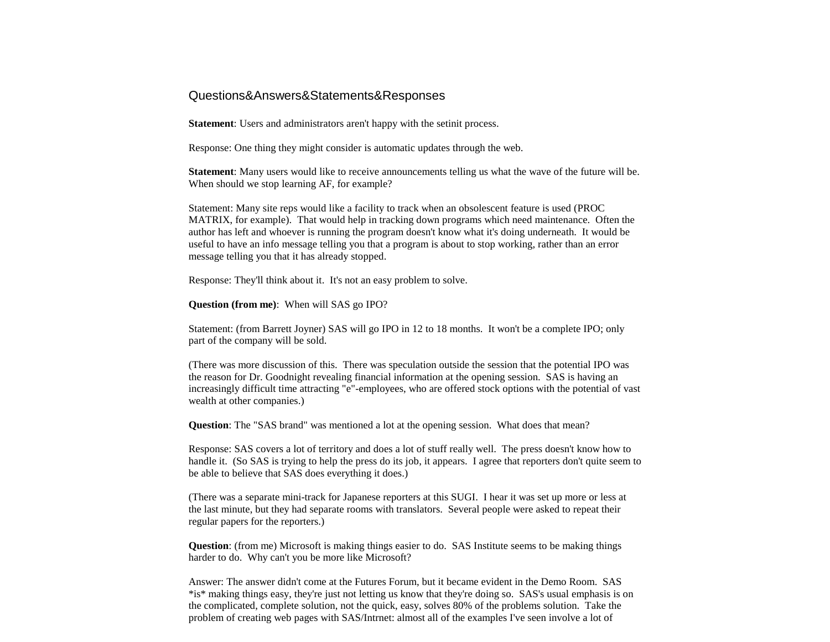## Questions&Answers&Statements&Responses

**Statement**: Users and administrators aren't happy with the setinit process.

Response: One thing they might consider is automatic updates through the web.

**Statement**: Many users would like to receive announcements telling us what the wave of the future will be. When should we stop learning AF, for example?

Statement: Many site reps would like a facility to track when an obsolescent feature is used (PROC MATRIX, for example). That would help in tracking down programs which need maintenance. Often the author has left and whoever is running the program doesn't know what it's doing underneath. It would be useful to have an info message telling you that a program is about to stop working, rather than an error message telling you that it has already stopped.

Response: They'll think about it. It's not an easy problem to solve.

**Question (from me)**: When will SAS go IPO?

Statement: (from Barrett Joyner) SAS will go IPO in 12 to 18 months. It won't be a complete IPO; only part of the company will be sold.

(There was more discussion of this. There was speculation outside the session that the potential IPO was the reason for Dr. Goodnight revealing financial information at the opening session. SAS is having an increasingly difficult time attracting "e"-employees, who are offered stock options with the potential of vast wealth at other companies.)

**Question**: The "SAS brand" was mentioned a lot at the opening session. What does that mean?

Response: SAS covers a lot of territory and does a lot of stuff really well. The press doesn't know how to handle it. (So SAS is trying to help the press do its job, it appears. I agree that reporters don't quite seem to be able to believe that SAS does everything it does.)

(There was a separate mini-track for Japanese reporters at this SUGI. I hear it was set up more or less at the last minute, but they had separate rooms with translators. Several people were asked to repeat their regular papers for the reporters.)

**Question**: (from me) Microsoft is making things easier to do. SAS Institute seems to be making things harder to do. Why can't you be more like Microsoft?

Answer: The answer didn't come at the Futures Forum, but it became evident in the Demo Room. SAS \*is\* making things easy, they're just not letting us know that they're doing so. SAS's usual emphasis is on the complicated, complete solution, not the quick, easy, solves 80% of the problems solution. Take the problem of creating web pages with SAS/Intrnet: almost all of the examples I've seen involve a lot of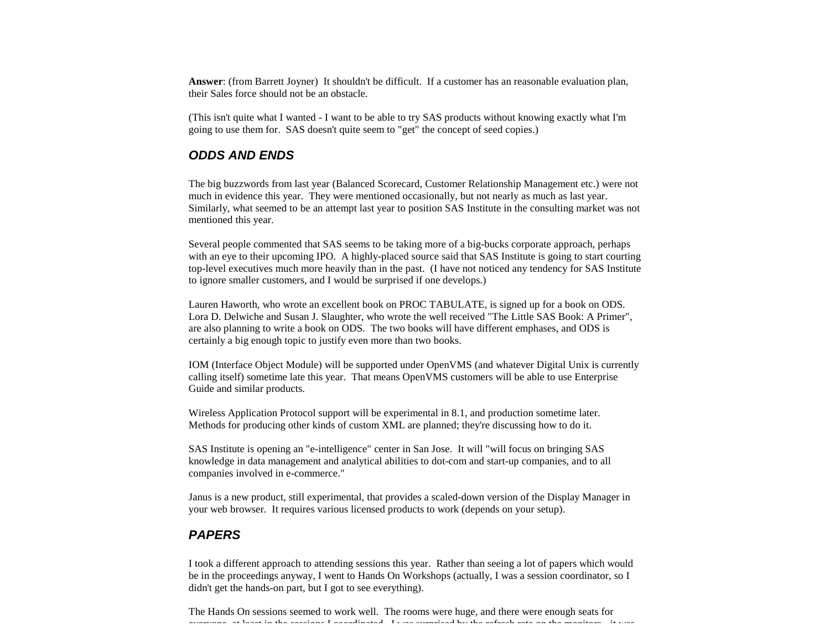**Answer**: (from Barrett Joyner) It shouldn't be difficult. If a customer has an reasonable evaluation plan, their Sales force should not be an obstacle.

(This isn't quite what I wanted - I want to be able to try SAS products without knowing exactly what I'm going to use them for. SAS doesn't quite seem to "get" the concept of seed copies.)

#### *ODDS AND ENDS*

The big buzzwords from last year (Balanced Scorecard, Customer Relationship Management etc.) were not much in evidence this year. They were mentioned occasionally, but not nearly as much as last year. Similarly, what seemed to be an attempt last year to position SAS Institute in the consulting market was not mentioned this year.

Several people commented that SAS seems to be taking more of a big-bucks corporate approach, perhaps with an eye to their upcoming IPO. A highly-placed source said that SAS Institute is going to start courting top-level executives much more heavily than in the past. (I have not noticed any tendency for SAS Institute to ignore smaller customers, and I would be surprised if one develops.)

Lauren Haworth, who wrote an excellent book on PROC TABULATE, is signed up for a book on ODS. Lora D. Delwiche and Susan J. Slaughter, who wrote the well received "The Little SAS Book: A Primer", are also planning to write a book on ODS. The two books will have different emphases, and ODS is certainly a big enough topic to justify even more than two books.

IOM (Interface Object Module) will be supported under OpenVMS (and whatever Digital Unix is currently calling itself) sometime late this year. That means OpenVMS customers will be able to use Enterprise Guide and similar products.

Wireless Application Protocol support will be experimental in 8.1, and production sometime later. Methods for producing other kinds of custom XML are planned; they're discussing how to do it.

SAS Institute is opening an "e-intelligence" center in San Jose. It will "will focus on bringing SAS knowledge in data management and analytical abilities to dot-com and start-up companies, and to all companies involved in e-commerce."

Janus is a new product, still experimental, that provides a scaled-down version of the Display Manager in your web browser. It requires various licensed products to work (depends on your setup).

## *PAPERS*

I took a different approach to attending sessions this year. Rather than seeing a lot of papers which would be in the proceedings anyway, I went to Hands On Workshops (actually, I was a session coordinator, so I didn't get the hands-on part, but I got to see everything).

The Hands On sessions seemed to work well. The rooms were huge, and there were enough seats for everyone, at least in the sessions I coordinated. I was surprised by the refresh rate on the monitors - it was